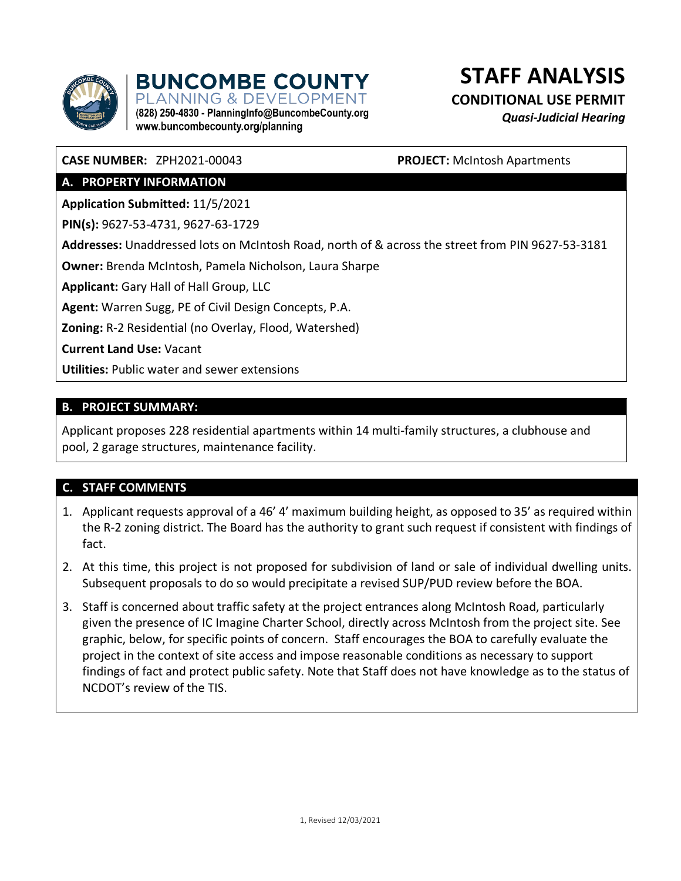

**BUNCOMBE COUNTY ANNING & DEVELOPMENT** (828) 250-4830 - PlanningInfo@BuncombeCounty.org **STAFF ANALYSIS**

**CONDITIONAL USE PERMIT**

*Quasi-Judicial Hearing*

**CASE NUMBER:** ZPH2021-00043 **PROJECT:** McIntosh Apartments

# **A. PROPERTY INFORMATION**

**Application Submitted:** 11/5/2021

**PIN(s):** 9627-53-4731, 9627-63-1729

**Addresses:** Unaddressed lots on McIntosh Road, north of & across the street from PIN 9627-53-3181

**Owner:** Brenda McIntosh, Pamela Nicholson, Laura Sharpe

www.buncombecounty.org/planning

**Applicant:** Gary Hall of Hall Group, LLC

**Agent:** Warren Sugg, PE of Civil Design Concepts, P.A.

**Zoning:** R-2 Residential (no Overlay, Flood, Watershed)

**Current Land Use:** Vacant

**Utilities:** Public water and sewer extensions

### **B. PROJECT SUMMARY:**

Applicant proposes 228 residential apartments within 14 multi-family structures, a clubhouse and pool, 2 garage structures, maintenance facility.

# **C. STAFF COMMENTS**

- 1. Applicant requests approval of a 46' 4' maximum building height, as opposed to 35' as required within the R-2 zoning district. The Board has the authority to grant such request if consistent with findings of fact.
- 2. At this time, this project is not proposed for subdivision of land or sale of individual dwelling units. Subsequent proposals to do so would precipitate a revised SUP/PUD review before the BOA.
- 3. Staff is concerned about traffic safety at the project entrances along McIntosh Road, particularly given the presence of IC Imagine Charter School, directly across McIntosh from the project site. See graphic, below, for specific points of concern. Staff encourages the BOA to carefully evaluate the project in the context of site access and impose reasonable conditions as necessary to support findings of fact and protect public safety. Note that Staff does not have knowledge as to the status of NCDOT's review of the TIS.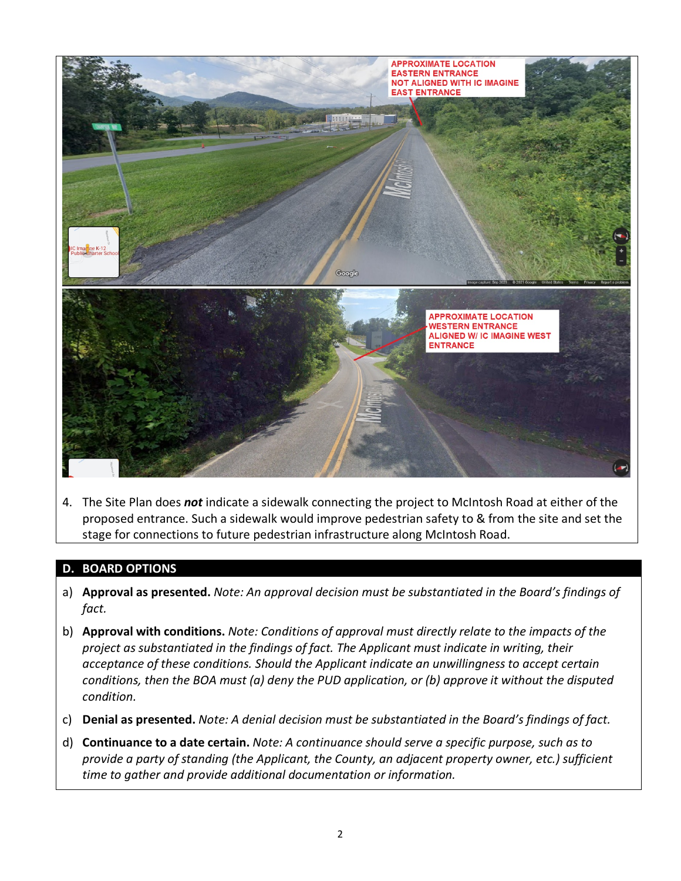

4. The Site Plan does *not* indicate a sidewalk connecting the project to McIntosh Road at either of the proposed entrance. Such a sidewalk would improve pedestrian safety to & from the site and set the stage for connections to future pedestrian infrastructure along McIntosh Road.

#### **D. BOARD OPTIONS**

- a) **Approval as presented.** *Note: An approval decision must be substantiated in the Board's findings of fact.*
- b) **Approval with conditions.** *Note: Conditions of approval must directly relate to the impacts of the project as substantiated in the findings of fact. The Applicant must indicate in writing, their acceptance of these conditions. Should the Applicant indicate an unwillingness to accept certain conditions, then the BOA must (a) deny the PUD application, or (b) approve it without the disputed condition.*
- c) **Denial as presented.** *Note: A denial decision must be substantiated in the Board's findings of fact.*
- d) **Continuance to a date certain.** *Note: A continuance should serve a specific purpose, such as to provide a party of standing (the Applicant, the County, an adjacent property owner, etc.) sufficient time to gather and provide additional documentation or information.*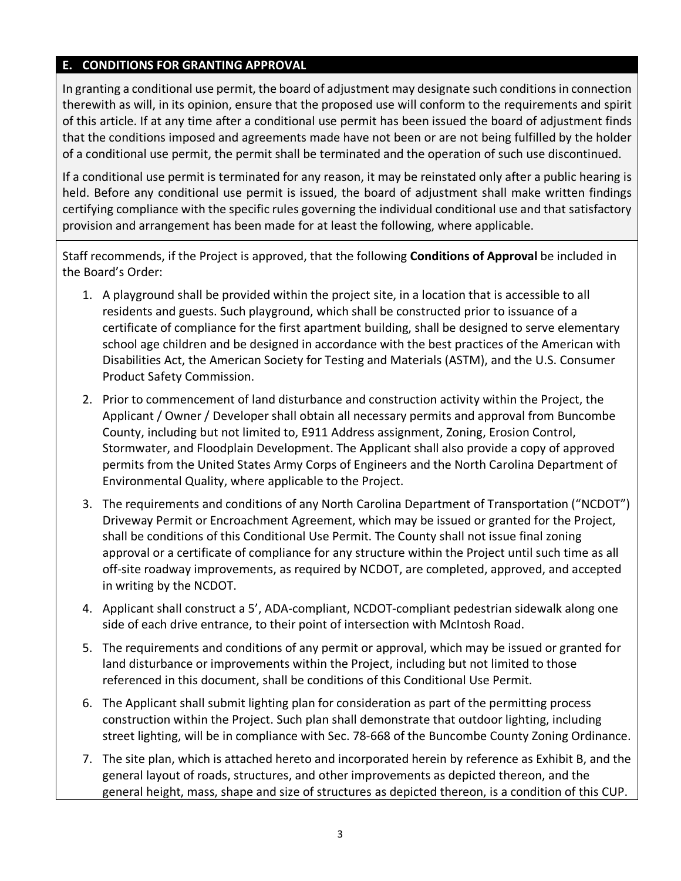#### **E. CONDITIONS FOR GRANTING APPROVAL**

In granting a conditional use permit, the board of adjustment may designate such conditions in connection therewith as will, in its opinion, ensure that the proposed use will conform to the requirements and spirit of this article. If at any time after a conditional use permit has been issued the board of adjustment finds that the conditions imposed and agreements made have not been or are not being fulfilled by the holder of a conditional use permit, the permit shall be terminated and the operation of such use discontinued.

If a conditional use permit is terminated for any reason, it may be reinstated only after a public hearing is held. Before any conditional use permit is issued, the board of adjustment shall make written findings certifying compliance with the specific rules governing the individual conditional use and that satisfactory provision and arrangement has been made for at least the following, where applicable.

Staff recommends, if the Project is approved, that the following **Conditions of Approval** be included in the Board's Order:

- 1. A playground shall be provided within the project site, in a location that is accessible to all residents and guests. Such playground, which shall be constructed prior to issuance of a certificate of compliance for the first apartment building, shall be designed to serve elementary school age children and be designed in accordance with the best practices of the American with Disabilities Act, the American Society for Testing and Materials (ASTM), and the U.S. Consumer Product Safety Commission.
- 2. Prior to commencement of land disturbance and construction activity within the Project, the Applicant / Owner / Developer shall obtain all necessary permits and approval from Buncombe County, including but not limited to, E911 Address assignment, Zoning, Erosion Control, Stormwater, and Floodplain Development. The Applicant shall also provide a copy of approved permits from the United States Army Corps of Engineers and the North Carolina Department of Environmental Quality, where applicable to the Project.
- 3. The requirements and conditions of any North Carolina Department of Transportation ("NCDOT") Driveway Permit or Encroachment Agreement, which may be issued or granted for the Project, shall be conditions of this Conditional Use Permit. The County shall not issue final zoning approval or a certificate of compliance for any structure within the Project until such time as all off-site roadway improvements, as required by NCDOT, are completed, approved, and accepted in writing by the NCDOT.
- 4. Applicant shall construct a 5', ADA-compliant, NCDOT-compliant pedestrian sidewalk along one side of each drive entrance, to their point of intersection with McIntosh Road.
- 5. The requirements and conditions of any permit or approval, which may be issued or granted for land disturbance or improvements within the Project, including but not limited to those referenced in this document, shall be conditions of this Conditional Use Permit.
- 6. The Applicant shall submit lighting plan for consideration as part of the permitting process construction within the Project. Such plan shall demonstrate that outdoor lighting, including street lighting, will be in compliance with Sec. 78-668 of the Buncombe County Zoning Ordinance.
- 7. The site plan, which is attached hereto and incorporated herein by reference as Exhibit B, and the general layout of roads, structures, and other improvements as depicted thereon, and the general height, mass, shape and size of structures as depicted thereon, is a condition of this CUP.